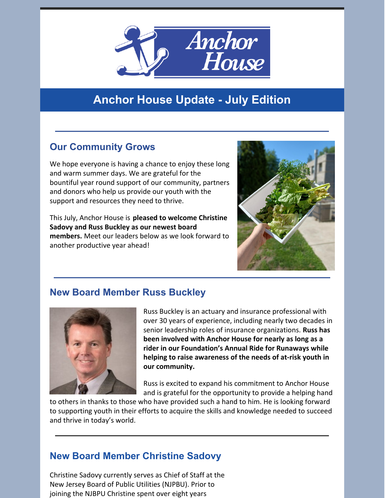

## **Anchor House Update - July Edition**

### **Our Community Grows**

We hope everyone is having a chance to enjoy these long and warm summer days. We are grateful for the bountiful year round support of our community, partners and donors who help us provide our youth with the support and resources they need to thrive.

This July, Anchor House is **pleased to welcome Christine Sadovy and Russ Buckley as our newest board members.** Meet our leaders below as we look forward to another productive year ahead!



#### **New Board Member Russ Buckley**



Russ Buckley is an actuary and insurance professional with over 30 years of experience, including nearly two decades in senior leadership roles of insurance organizations. **Russ has been involved with Anchor House for nearly as long as a rider in our Foundation's Annual Ride for Runaways while helping to raise awareness of the needs of at-risk youth in our community.**

Russ is excited to expand his commitment to Anchor House and is grateful for the opportunity to provide a helping hand

to others in thanks to those who have provided such a hand to him. He is looking forward to supporting youth in their efforts to acquire the skills and knowledge needed to succeed and thrive in today's world.

#### **New Board Member Christine Sadovy**

Christine Sadovy currently serves as Chief of Staff at the New Jersey Board of Public Utilities (NJPBU). Prior to joining the NJBPU Christine spent over eight years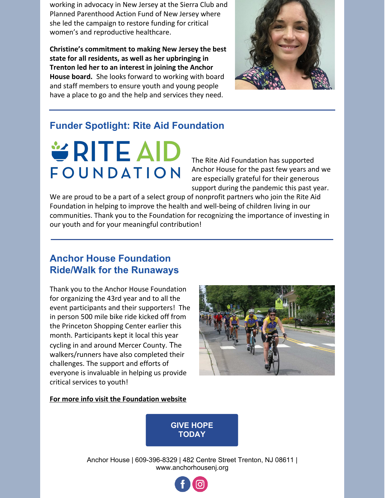working in advocacy in New Jersey at the Sierra Club and Planned Parenthood Action Fund of New Jersey where she led the campaign to restore funding for critical women's and reproductive healthcare.

**Christine's commitment to making New Jersey the best state for all residents, as well as her upbringing in Trenton led her to an interest in joining the Anchor House board.** She looks forward to working with board and staff members to ensure youth and young people have a place to go and the help and services they need.



#### **Funder Spotlight: Rite Aid Foundation**

# **VRITE AID** FOUNDATION

The Rite Aid Foundation has supported Anchor House for the past few years and we are especially grateful for their generous support during the pandemic this past year.

We are proud to be a part of a select group of nonprofit partners who join the Rite Aid Foundation in helping to improve the health and well-being of children living in our communities. Thank you to the Foundation for recognizing the importance of investing in our youth and for your meaningful contribution!

#### **Anchor House Foundation Ride/Walk for the Runaways**

Thank you to the Anchor House Foundation for organizing the 43rd year and to all the event participants and their supporters! The in person 500 mile bike ride kicked off from the Princeton Shopping Center earlier this month. Participants kept it local this year cycling in and around Mercer County. The walkers/runners have also completed their challenges. The support and efforts of everyone is invaluable in helping us provide critical services to youth!



#### **For more info visit the [Foundation](https://anchorhouseride.rallybound.org/) website**



Anchor House | 609-396-8329 | 482 Centre Street Trenton, NJ 08611 | www.anchorhousenj.org